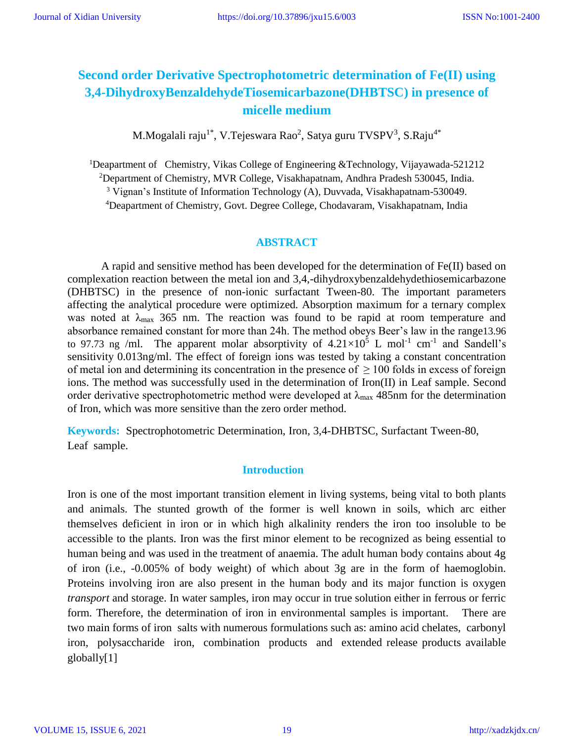# **Second order Derivative Spectrophotometric determination of Fe(II) using 3,4-DihydroxyBenzaldehydeTiosemicarbazone(DHBTSC) in presence of micelle medium**

M.Mogalali raju $^{1^*}$ , V.Tejeswara Rao $^2$ , Satya guru TVSPV $^3$ , S.Raju $^{4^*}$ 

Deapartment of Chemistry, Vikas College of Engineering &Technology, Vijayawada-521212 Department of Chemistry, MVR College, Visakhapatnam, Andhra Pradesh 530045, India. Vignan's Institute of Information Technology (A), Duvvada, Visakhapatnam-530049. Deapartment of Chemistry, Govt. Degree College, Chodavaram, Visakhapatnam, India

# **ABSTRACT**

A rapid and sensitive method has been developed for the determination of Fe(II) based on complexation reaction between the metal ion and 3,4,-dihydroxybenzaldehydethiosemicarbazone (DHBTSC) in the presence of non-ionic surfactant Tween-80. The important parameters affecting the analytical procedure were optimized. Absorption maximum for a ternary complex was noted at  $\lambda_{\text{max}}$  365 nm. The reaction was found to be rapid at room temperature and absorbance remained constant for more than 24h. The method obeys Beer's law in the range13.96 to 97.73 ng /ml. The apparent molar absorptivity of  $4.21 \times 10^5$  L mol<sup>-1</sup> cm<sup>-1</sup> and Sandell's sensitivity 0.013ng/ml. The effect of foreign ions was tested by taking a constant concentration of metal ion and determining its concentration in the presence of  $\geq 100$  folds in excess of foreign ions. The method was successfully used in the determination of Iron(II) in Leaf sample. Second order derivative spectrophotometric method were developed at  $\lambda_{\text{max}}$  485nm for the determination of Iron, which was more sensitive than the zero order method.

**Keywords:** Spectrophotometric Determination, Iron, 3,4-DHBTSC, Surfactant Tween-80, Leaf sample.

### **Introduction**

Iron is one of the most important transition element in living systems, being vital to both plants and animals. The stunted growth of the former is well known in soils, which arc either themselves deficient in iron or in which high alkalinity renders the iron too insoluble to be accessible to the plants. Iron was the first minor element to be recognized as being essential to human being and was used in the treatment of anaemia. The adult human body contains about 4g of iron (i.e., -0.005% of body weight) of which about 3g are in the form of haemoglobin. Proteins involving iron are also present in the human body and its major function is oxygen *transport* and storage. In water samples, iron may occur in true solution either in ferrous or ferric form. Therefore, the determination of iron in environmental samples is important. There are two main forms of iron salts with numerous formulations such as: amino acid chelates, carbonyl iron, polysaccharide iron, combination products and extended release products available globally[1]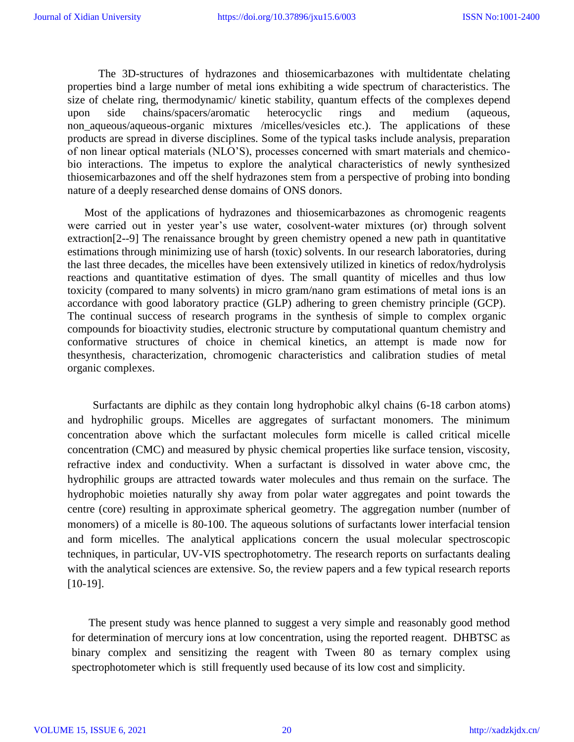The 3D-structures of hydrazones and thiosemicarbazones with multidentate chelating properties bind a large number of metal ions exhibiting a wide spectrum of characteristics. The size of chelate ring, thermodynamic/ kinetic stability, quantum effects of the complexes depend upon side chains/spacers/aromatic heterocyclic rings and medium (aqueous, non aqueous/aqueous-organic mixtures /micelles/vesicles etc.). The applications of these products are spread in diverse disciplines. Some of the typical tasks include analysis, preparation of non linear optical materials (NLO'S), processes concerned with smart materials and chemicobio interactions. The impetus to explore the analytical characteristics of newly synthesized thiosemicarbazones and off the shelf hydrazones stem from a perspective of probing into bonding nature of a deeply researched dense domains of ONS donors.

Most of the applications of hydrazones and thiosemicarbazones as chromogenic reagents were carried out in yester year's use water, cosolvent-water mixtures (or) through solvent extraction<sup>[2--9]</sup> The renaissance brought by green chemistry opened a new path in quantitative estimations through minimizing use of harsh (toxic) solvents. In our research laboratories, during the last three decades, the micelles have been extensively utilized in kinetics of redox/hydrolysis reactions and quantitative estimation of dyes. The small quantity of micelles and thus low toxicity (compared to many solvents) in micro gram/nano gram estimations of metal ions is an accordance with good laboratory practice (GLP) adhering to green chemistry principle (GCP). The continual success of research programs in the synthesis of simple to complex organic compounds for bioactivity studies, electronic structure by computational quantum chemistry and conformative structures of choice in chemical kinetics, an attempt is made now for thesynthesis, characterization, chromogenic characteristics and calibration studies of metal organic complexes.

 Surfactants are diphilc as they contain long hydrophobic alkyl chains (6-18 carbon atoms) and hydrophilic groups. Micelles are aggregates of surfactant monomers. The minimum concentration above which the surfactant molecules form micelle is called critical micelle concentration (CMC) and measured by physic chemical properties like surface tension, viscosity, refractive index and conductivity. When a surfactant is dissolved in water above cmc, the hydrophilic groups are attracted towards water molecules and thus remain on the surface. The hydrophobic moieties naturally shy away from polar water aggregates and point towards the centre (core) resulting in approximate spherical geometry. The aggregation number (number of monomers) of a micelle is 80-100. The aqueous solutions of surfactants lower interfacial tension and form micelles. The analytical applications concern the usual molecular spectroscopic techniques, in particular, UV-VIS spectrophotometry. The research reports on surfactants dealing with the analytical sciences are extensive. So, the review papers and a few typical research reports [10-19].

The present study was hence planned to suggest a very simple and reasonably good method for determination of mercury ions at low concentration, using the reported reagent. DHBTSC as binary complex and sensitizing the reagent with Tween 80 as ternary complex using spectrophotometer which is still frequently used because of its low cost and simplicity.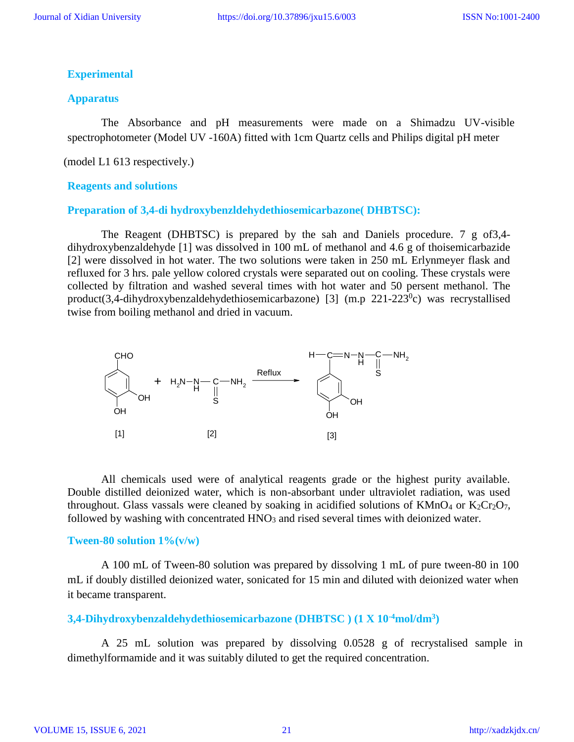### **Experimental**

### **Apparatus**

The Absorbance and pH measurements were made on a Shimadzu UV-visible spectrophotometer (Model UV -160A) fitted with 1cm Quartz cells and Philips digital pH meter

(model L1 613 respectively.)

#### **Reagents and solutions**

#### **Preparation of 3,4-di hydroxybenzldehydethiosemicarbazone( DHBTSC):**

The Reagent (DHBTSC) is prepared by the sah and Daniels procedure. 7 g of3,4 dihydroxybenzaldehyde [1] was dissolved in 100 mL of methanol and 4.6 g of thoisemicarbazide [2] were dissolved in hot water. The two solutions were taken in 250 mL Erlynmeyer flask and refluxed for 3 hrs. pale yellow colored crystals were separated out on cooling. These crystals were collected by filtration and washed several times with hot water and 50 persent methanol. The product(3,4-dihydroxybenzaldehydethiosemicarbazone) [3]  $(m.p 221-223°c)$  was recrystallised twise from boiling methanol and dried in vacuum.



All chemicals used were of analytical reagents grade or the highest purity available. Double distilled deionized water, which is non-absorbant under ultraviolet radiation, was used throughout. Glass vassals were cleaned by soaking in acidified solutions of  $KMnO_4$  or  $K_2Cr_2O_7$ , followed by washing with concentrated  $HNO<sub>3</sub>$  and rised several times with deionized water.

#### **Tween-80 solution 1%(v/w)**

A 100 mL of Tween-80 solution was prepared by dissolving 1 mL of pure tween-80 in 100 mL if doubly distilled deionized water, sonicated for 15 min and diluted with deionized water when it became transparent.

# **3,4-Dihydroxybenzaldehydethiosemicarbazone (DHBTSC ) (1 X 10-4mol/dm<sup>3</sup> )**

A 25 mL solution was prepared by dissolving 0.0528 g of recrystalised sample in dimethylformamide and it was suitably diluted to get the required concentration.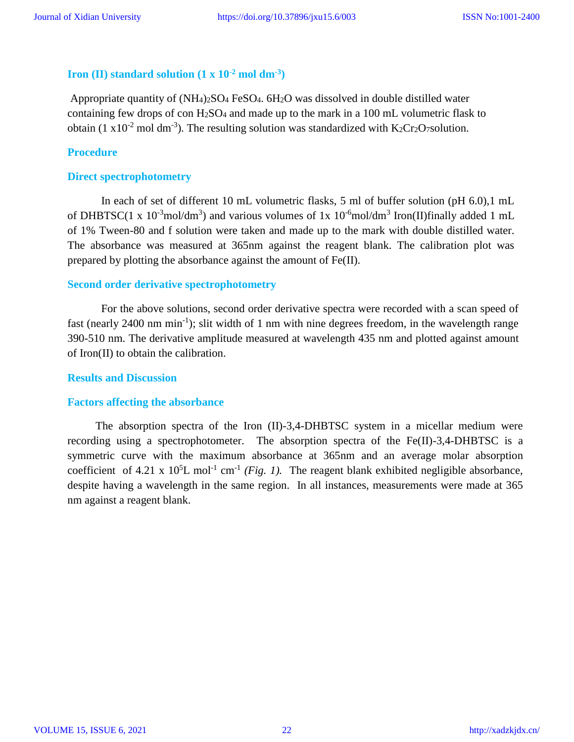# **Iron (II) standard solution**  $(1 \times 10^{-2} \text{ mol dm}^{-3})$

Appropriate quantity of  $(NH_4)_2SO_4$  FeSO<sub>4</sub>.  $6H_2O$  was dissolved in double distilled water containing few drops of con  $H_2SO_4$  and made up to the mark in a 100 mL volumetric flask to obtain (1 x10<sup>-2</sup> mol dm<sup>-3</sup>). The resulting solution was standardized with K<sub>2</sub>Cr<sub>2</sub>O<sub>7</sub>solution.

### **Procedure**

### **Direct spectrophotometry**

In each of set of different 10 mL volumetric flasks, 5 ml of buffer solution (pH 6.0),1 mL of DHBTSC(1 x  $10^{-3}$ mol/dm<sup>3</sup>) and various volumes of 1x  $10^{-6}$ mol/dm<sup>3</sup> Iron(II)finally added 1 mL of 1% Tween-80 and f solution were taken and made up to the mark with double distilled water. The absorbance was measured at 365nm against the reagent blank. The calibration plot was prepared by plotting the absorbance against the amount of Fe(II).

### **Second order derivative spectrophotometry**

For the above solutions, second order derivative spectra were recorded with a scan speed of fast (nearly 2400 nm min<sup>-1</sup>); slit width of 1 nm with nine degrees freedom, in the wavelength range 390-510 nm. The derivative amplitude measured at wavelength 435 nm and plotted against amount of Iron(II) to obtain the calibration.

#### **Results and Discussion**

#### **Factors affecting the absorbance**

 The absorption spectra of the Iron (II)-3,4-DHBTSC system in a micellar medium were recording using a spectrophotometer. The absorption spectra of the Fe(II)-3,4-DHBTSC is a symmetric curve with the maximum absorbance at 365nm and an average molar absorption coefficient of 4.21 x  $10<sup>5</sup>L$  mol<sup>-1</sup> cm<sup>-1</sup> (*Fig. 1*). The reagent blank exhibited negligible absorbance, despite having a wavelength in the same region. In all instances, measurements were made at 365 nm against a reagent blank.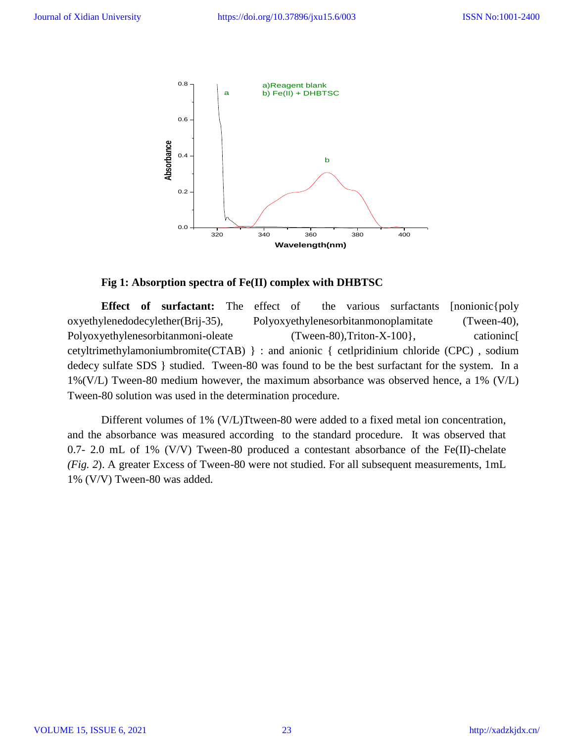

### **Fig 1: Absorption spectra of Fe(II) complex with DHBTSC**

**Effect of surfactant:** The effect of the various surfactants [nonionic [poly oxyethylenedodecylether(Brij-35), Polyoxyethylenesorbitanmonoplamitate (Tween-40), Polyoxyethylenesorbitanmoni-oleate (Tween-80),Triton-X-100}, cationinc[ cetyltrimethylamoniumbromite(CTAB) } : and anionic { cetlpridinium chloride (CPC) , sodium dedecy sulfate SDS } studied. Tween-80 was found to be the best surfactant for the system. In a 1%(V/L) Tween-80 medium however, the maximum absorbance was observed hence, a 1% (V/L) Tween-80 solution was used in the determination procedure.

Different volumes of 1% (V/L)Ttween-80 were added to a fixed metal ion concentration, and the absorbance was measured according to the standard procedure. It was observed that 0.7- 2.0 mL of 1% (V/V) Tween-80 produced a contestant absorbance of the Fe(II)-chelate *(Fig. 2*). A greater Excess of Tween-80 were not studied. For all subsequent measurements, 1mL 1% (V/V) Tween-80 was added*.*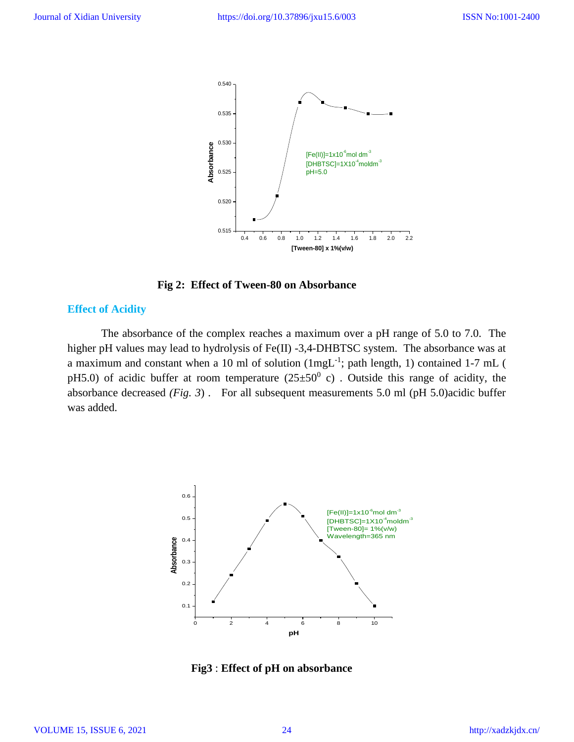

 **Fig 2: Effect of Tween-80 on Absorbance**

# **Effect of Acidity**

The absorbance of the complex reaches a maximum over a pH range of 5.0 to 7.0. The higher pH values may lead to hydrolysis of Fe(II) -3,4-DHBTSC system. The absorbance was at a maximum and constant when a 10 ml of solution  $(1mgL^{-1})$ ; path length, 1) contained 1-7 mL ( pH5.0) of acidic buffer at room temperature  $(25\pm50^0 \text{ c})$ . Outside this range of acidity, the absorbance decreased *(Fig. 3*) . For all subsequent measurements 5.0 ml (pH 5.0)acidic buffer was added.



**Fig3** : **Effect of pH on absorbance**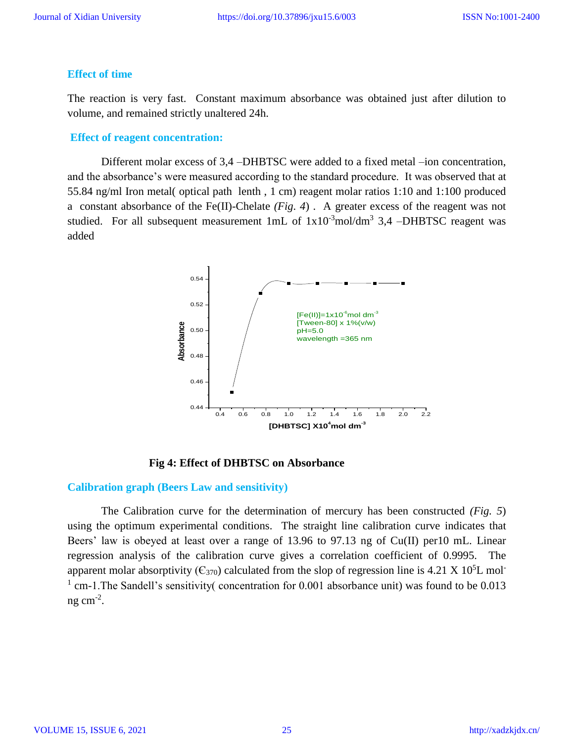### **Effect of time**

The reaction is very fast. Constant maximum absorbance was obtained just after dilution to volume, and remained strictly unaltered 24h.

#### **Effect of reagent concentration:**

Different molar excess of 3,4 –DHBTSC were added to a fixed metal –ion concentration, and the absorbance's were measured according to the standard procedure. It was observed that at 55.84 ng/ml Iron metal( optical path lenth , 1 cm) reagent molar ratios 1:10 and 1:100 produced a constant absorbance of the Fe(II)-Chelate *(Fig. 4*) . A greater excess of the reagent was not studied. For all subsequent measurement  $1mL$  of  $1x10^{-3}mol/dm^3$  3,4 -DHBTSC reagent was added



 **Fig 4: Effect of DHBTSC on Absorbance**

#### **Calibration graph (Beers Law and sensitivity)**

The Calibration curve for the determination of mercury has been constructed *(Fig. 5*) using the optimum experimental conditions. The straight line calibration curve indicates that Beers' law is obeyed at least over a range of 13.96 to 97.13 ng of Cu(II) per10 mL. Linear regression analysis of the calibration curve gives a correlation coefficient of 0.9995. The apparent molar absorptivity ( $C_{370}$ ) calculated from the slop of regression line is 4.21 X 10<sup>5</sup>L mol-<sup>1</sup> cm-1. The Sandell's sensitivity( concentration for 0.001 absorbance unit) was found to be 0.013 ng cm $^{-2}$ .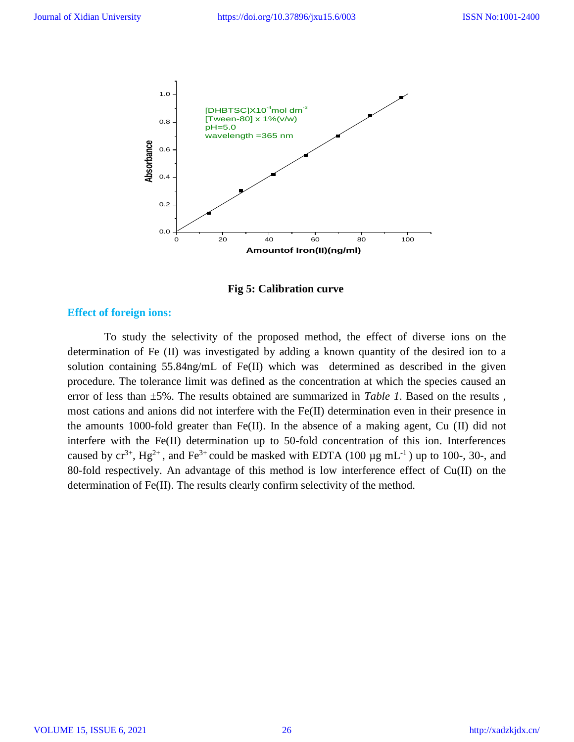

 **Fig 5: Calibration curve**

### **Effect of foreign ions:**

To study the selectivity of the proposed method, the effect of diverse ions on the determination of Fe (II) was investigated by adding a known quantity of the desired ion to a solution containing 55.84ng/mL of Fe(II) which was determined as described in the given procedure. The tolerance limit was defined as the concentration at which the species caused an error of less than ±5%. The results obtained are summarized in *Table 1*. Based on the results , most cations and anions did not interfere with the Fe(II) determination even in their presence in the amounts 1000-fold greater than Fe(II). In the absence of a making agent, Cu (II) did not interfere with the Fe(II) determination up to 50-fold concentration of this ion. Interferences caused by  $cr^{3+}$ ,  $Hg^{2+}$ , and  $Fe^{3+}$  could be masked with EDTA (100  $\mu$ g mL<sup>-1</sup>) up to 100-, 30-, and 80-fold respectively. An advantage of this method is low interference effect of Cu(II) on the determination of Fe(II). The results clearly confirm selectivity of the method.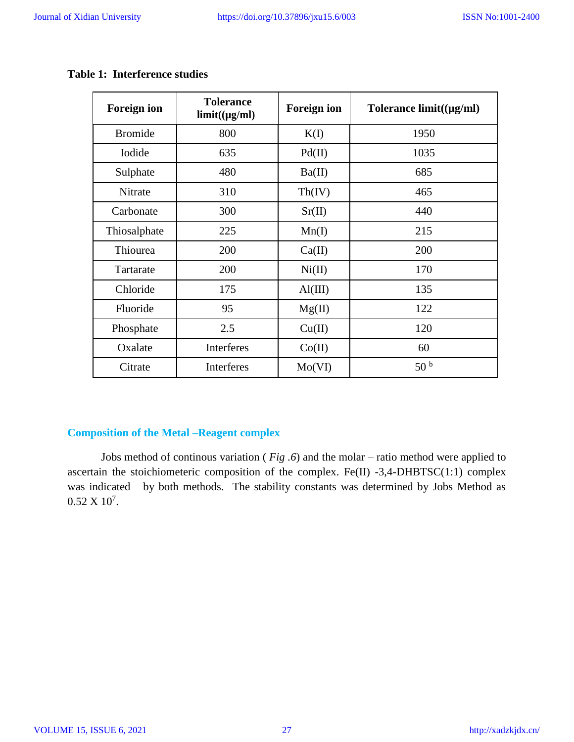Τ

T

٦

 $\overline{\Gamma}$ 

| <b>Foreign ion</b> | <b>Tolerance</b><br>$limit((\mu g/ml))$ | <b>Foreign ion</b> | Tolerance $limit((\mu g/ml))$ |
|--------------------|-----------------------------------------|--------------------|-------------------------------|
| <b>Bromide</b>     | 800                                     | K(I)               | 1950                          |
| Iodide             | 635                                     | Pd(II)             | 1035                          |
| Sulphate           | 480                                     | Ba(II)             | 685                           |
| Nitrate            | 310                                     | Th(IV)             | 465                           |
| Carbonate          | 300                                     | Sr(II)             | 440                           |
| Thiosalphate       | 225                                     | Mn(I)              | 215                           |
| Thiourea           | 200                                     | Ca(II)             | 200                           |
| Tartarate          | 200                                     | Ni(II)             | 170                           |
| Chloride           | 175                                     | $\text{Al(III)}$   | 135                           |
| Fluoride           | 95                                      | Mg(II)             | 122                           |
| Phosphate          | 2.5                                     | Cu(II)             | 120                           |
| Oxalate            | Interferes                              | Co(II)             | 60                            |
| Citrate            | <b>Interferes</b>                       | Mo(VI)             | 50 <sup>b</sup>               |

# **Table 1: Interference studies**

# **Composition of the Metal –Reagent complex**

Jobs method of continous variation ( *Fig .6*) and the molar – ratio method were applied to ascertain the stoichiometeric composition of the complex. Fe(II) -3,4-DHBTSC(1:1) complex was indicated by both methods. The stability constants was determined by Jobs Method as  $0.52 \times 10^7$ .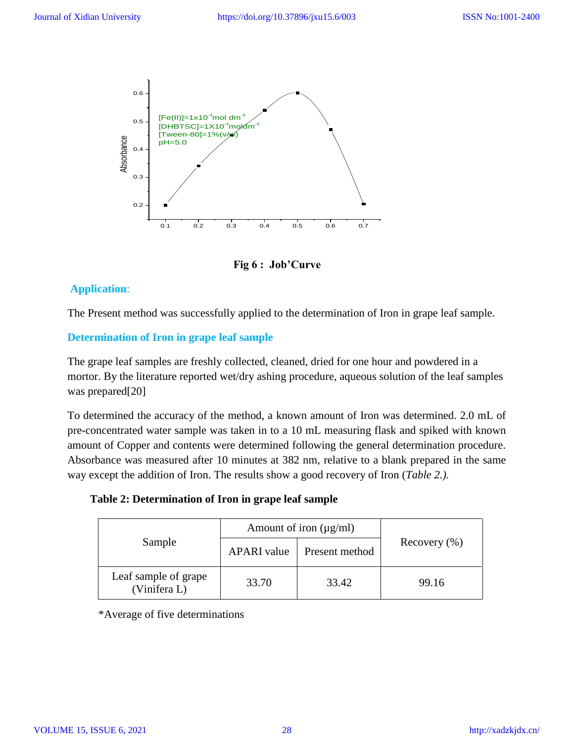

 **Fig 6 : Job'Curve**

# **Application**:

The Present method was successfully applied to the determination of Iron in grape leaf sample.

# **Determination of Iron in grape leaf sample**

The grape leaf samples are freshly collected, cleaned, dried for one hour and powdered in a mortor. By the literature reported wet/dry ashing procedure, aqueous solution of the leaf samples was prepared[20]

To determined the accuracy of the method, a known amount of Iron was determined. 2.0 mL of pre-concentrated water sample was taken in to a 10 mL measuring flask and spiked with known amount of Copper and contents were determined following the general determination procedure. Absorbance was measured after 10 minutes at 382 nm, relative to a blank prepared in the same way except the addition of Iron. The results show a good recovery of Iron (*Table 2.).*

 **Table 2: Determination of Iron in grape leaf sample**

|                                      | Amount of iron $(\mu g/ml)$ |                |                  |
|--------------------------------------|-----------------------------|----------------|------------------|
| Sample                               | <b>APARI</b> value          | Present method | Recovery $(\% )$ |
| Leaf sample of grape<br>(Vinifera L) | 33.70                       | 33.42          | 99.16            |

\*Average of five determinations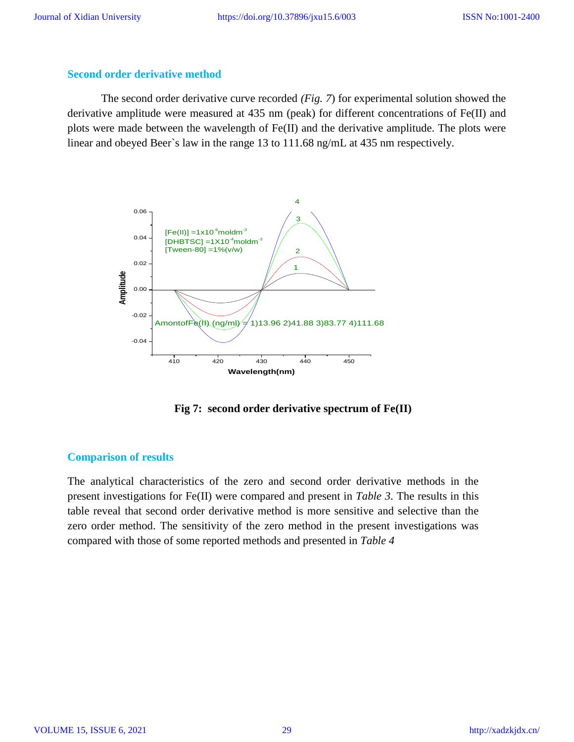### **Second order derivative method**

The second order derivative curve recorded *(Fig. 7*) for experimental solution showed the derivative amplitude were measured at 435 nm (peak) for different concentrations of Fe(II) and plots were made between the wavelength of Fe(II) and the derivative amplitude. The plots were linear and obeyed Beer`s law in the range 13 to 111.68 ng/mL at 435 nm respectively.



 **Fig 7: second order derivative spectrum of Fe(II)**

### **Comparison of results**

The analytical characteristics of the zero and second order derivative methods in the present investigations for Fe(II) were compared and present in *Table 3*. The results in this table reveal that second order derivative method is more sensitive and selective than the zero order method. The sensitivity of the zero method in the present investigations was compared with those of some reported methods and presented in *Table 4*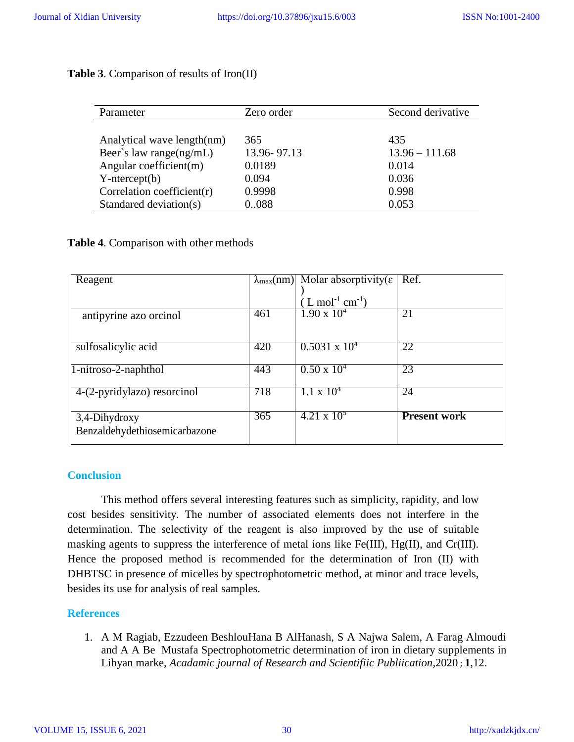| <b>Table 3.</b> Comparison of results of Iron(II) |  |  |  |  |  |  |
|---------------------------------------------------|--|--|--|--|--|--|
|---------------------------------------------------|--|--|--|--|--|--|

| Parameter                      | Zero order    | Second derivative |
|--------------------------------|---------------|-------------------|
|                                |               |                   |
| Analytical wave length(nm)     | 365           | 435               |
| Beer's law range $(ng/mL)$     | 13.96 - 97.13 | $13.96 - 111.68$  |
| Angular coefficient(m)         | 0.0189        | 0.014             |
| $Y-intercept(b)$               | 0.094         | 0.036             |
| Correlation coefficient( $r$ ) | 0.9998        | 0.998             |
| Standared deviation(s)         | 0.088         | 0.053             |

# **Table 4**. Comparison with other methods

| Reagent                       |     | $\lambda_{\text{max}}(nm)$ Molar absorptivity( $\varepsilon$   Ref. |                     |
|-------------------------------|-----|---------------------------------------------------------------------|---------------------|
|                               |     |                                                                     |                     |
|                               |     | $(L \text{ mol}^{-1} \text{ cm}^{-1})$                              |                     |
| antipyrine azo orcinol        | 461 | $1.90 \times 10^{4}$                                                | 21                  |
|                               |     |                                                                     |                     |
|                               |     |                                                                     |                     |
| sulfosalicylic acid           | 420 | $0.5031 \times 10^{4}$                                              | 22                  |
|                               |     |                                                                     |                     |
| 1-nitroso-2-naphthol          | 443 | $0.50 \times 10^{4}$                                                | 23                  |
|                               |     |                                                                     |                     |
| 4-(2-pyridylazo) resorcinol   | 718 | $1.1 \times 10^{4}$                                                 | 24                  |
|                               |     |                                                                     |                     |
| 3,4-Dihydroxy                 | 365 | $4.21 \times 10^5$                                                  | <b>Present work</b> |
| Benzaldehydethiosemicarbazone |     |                                                                     |                     |
|                               |     |                                                                     |                     |

# **Conclusion**

This method offers several interesting features such as simplicity, rapidity, and low cost besides sensitivity. The number of associated elements does not interfere in the determination. The selectivity of the reagent is also improved by the use of suitable masking agents to suppress the interference of metal ions like Fe(III), Hg(II), and Cr(III). Hence the proposed method is recommended for the determination of Iron (II) with DHBTSC in presence of micelles by spectrophotometric method, at minor and trace levels, besides its use for analysis of real samples.

# **References**

1. A M Ragiab, Ezzudeen BeshlouHana B AlHanash, S A Najwa Salem, A Farag Almoudi and A A Be Mustafa Spectrophotometric determination of iron in dietary supplements in Libyan marke, *Acadamic journal of Research and Scientifiic Publiication,*2020 ; **1**,12.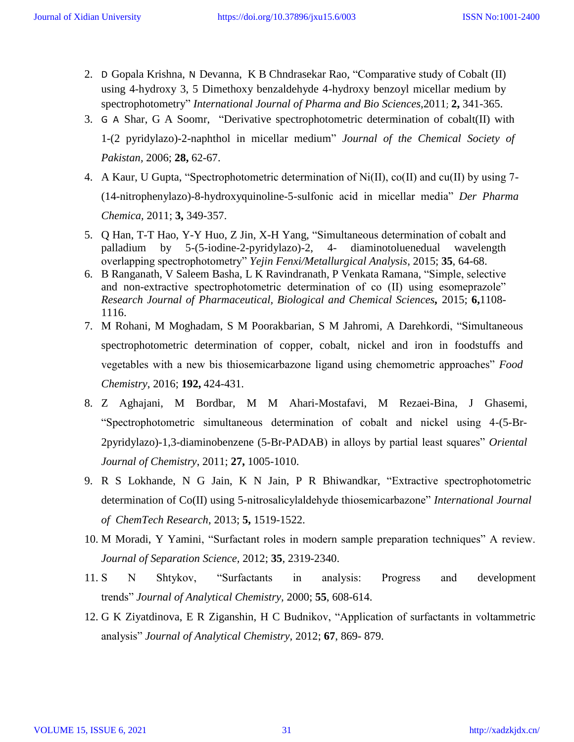- 2. D [Gopala Krishna,](http://www.scopus.com/authid/detail.url?origin=resultslist&authorId=42761309600&zone) N [Devanna,](http://www.scopus.com/authid/detail.url?origin=resultslist&authorId=42761309600&zone) K B Chndrasekar Rao, ["Comparative study](http://www.scopus.com/record/display.url?eid=2-s2.0-84855334637&origin=resultslist&sort=plf-f&src=s&st1=analytical%2Bmethods%2Bin%2Bmicellar%2Bmedia&nlo&nlr&nls&sid=LL3M5GHOqbpGvsY93lczAGl%3a20&sot=b&sdt=b&sl=51&s=TITLE-ABS-KEY%28analytical%2Bmethods%2Bin%2Bmicellar%2Bmedia%29&relpos=7&relpos=7&searchTerm=TITLE-ABS-KEY(analytical%20methods%20in%20micellar%20media)) [of Cobalt \(II\)](http://www.scopus.com/record/display.url?eid=2-s2.0-84855334637&origin=resultslist&sort=plf-f&src=s&st1=analytical%2Bmethods%2Bin%2Bmicellar%2Bmedia&nlo&nlr&nls&sid=LL3M5GHOqbpGvsY93lczAGl%3a20&sot=b&sdt=b&sl=51&s=TITLE-ABS-KEY%28analytical%2Bmethods%2Bin%2Bmicellar%2Bmedia%29&relpos=7&relpos=7&searchTerm=TITLE-ABS-KEY(analytical%20methods%20in%20micellar%20media))  [using 4-hydroxy 3, 5 Dimethoxy benzaldehyde 4-hydroxy benzoyl](http://www.scopus.com/record/display.url?eid=2-s2.0-84855334637&origin=resultslist&sort=plf-f&src=s&st1=analytical%2Bmethods%2Bin%2Bmicellar%2Bmedia&nlo&nlr&nls&sid=LL3M5GHOqbpGvsY93lczAGl%3a20&sot=b&sdt=b&sl=51&s=TITLE-ABS-KEY%28analytical%2Bmethods%2Bin%2Bmicellar%2Bmedia%29&relpos=7&relpos=7&searchTerm=TITLE-ABS-KEY(analytical%20methods%20in%20micellar%20media)) [micellar medium by](http://www.scopus.com/record/display.url?eid=2-s2.0-84855334637&origin=resultslist&sort=plf-f&src=s&st1=analytical%2Bmethods%2Bin%2Bmicellar%2Bmedia&nlo&nlr&nls&sid=LL3M5GHOqbpGvsY93lczAGl%3a20&sot=b&sdt=b&sl=51&s=TITLE-ABS-KEY%28analytical%2Bmethods%2Bin%2Bmicellar%2Bmedia%29&relpos=7&relpos=7&searchTerm=TITLE-ABS-KEY(analytical%20methods%20in%20micellar%20media))  [spectrophotometry"](http://www.scopus.com/record/display.url?eid=2-s2.0-84855334637&origin=resultslist&sort=plf-f&src=s&st1=analytical%2Bmethods%2Bin%2Bmicellar%2Bmedia&nlo&nlr&nls&sid=LL3M5GHOqbpGvsY93lczAGl%3a20&sot=b&sdt=b&sl=51&s=TITLE-ABS-KEY%28analytical%2Bmethods%2Bin%2Bmicellar%2Bmedia%29&relpos=7&relpos=7&searchTerm=TITLE-ABS-KEY(analytical%20methods%20in%20micellar%20media)) *[International Journal of Pharma and Bio](http://www.scopus.com/source/sourceInfo.url?sourceId=20600195619&origin=resultslist) [Sciences,](http://www.scopus.com/source/sourceInfo.url?sourceId=20600195619&origin=resultslist)*2011; **2,** 341-365.
- 3. G A [Shar,](https://www.scopus.com/authid/detail.url?origin=resultslist&authorId=6603543276&zone) G A [Soomr,](https://www.scopus.com/authid/detail.url?origin=resultslist&authorId=16317119600&zone) ["Derivative spectrophotometric determination of](https://www.scopus.com/record/display.url?eid=2-s2.0-34249669082&origin=resultslist&sort=plf-f&src=s&st1=determination%2Bof%2Bmetal%2Bions%2Bin%2Bmicelles&sid=LL3M5GHOqbpGvsY93lczAGl%3a20&sot=b&sdt=b&sl=54&s=TITLE-ABS-KEY%28determination%2Bof%2Bmetal%2Bions%2Bin%2Bmicelles%29&relpos=45&relpos=45&searchTerm=TITLE-ABS-KEY(determination%20of%20metal%20ions%20in%20micelles)) [cobalt\(II\) with](https://www.scopus.com/record/display.url?eid=2-s2.0-34249669082&origin=resultslist&sort=plf-f&src=s&st1=determination%2Bof%2Bmetal%2Bions%2Bin%2Bmicelles&sid=LL3M5GHOqbpGvsY93lczAGl%3a20&sot=b&sdt=b&sl=54&s=TITLE-ABS-KEY%28determination%2Bof%2Bmetal%2Bions%2Bin%2Bmicelles%29&relpos=45&relpos=45&searchTerm=TITLE-ABS-KEY(determination%20of%20metal%20ions%20in%20micelles))  [1-\(2 pyridylazo\)-2-naphthol in micellar medium"](https://www.scopus.com/record/display.url?eid=2-s2.0-34249669082&origin=resultslist&sort=plf-f&src=s&st1=determination%2Bof%2Bmetal%2Bions%2Bin%2Bmicelles&sid=LL3M5GHOqbpGvsY93lczAGl%3a20&sot=b&sdt=b&sl=54&s=TITLE-ABS-KEY%28determination%2Bof%2Bmetal%2Bions%2Bin%2Bmicelles%29&relpos=45&relpos=45&searchTerm=TITLE-ABS-KEY(determination%20of%20metal%20ions%20in%20micelles)) *[Journal of the](https://www.scopus.com/source/sourceInfo.url?sourceId=23349&origin=resultslist) [Chemical Society of](https://www.scopus.com/source/sourceInfo.url?sourceId=23349&origin=resultslist)  [Pakistan,](https://www.scopus.com/source/sourceInfo.url?sourceId=23349&origin=resultslist)* 2006; **28,** 62-67.
- 4. A Kaur, U Gupta, "Spectrophotometric determination of Ni(II), co(II) and cu(II) by using 7- (14-nitrophenylazo)-8-hydroxyquinoline-5-sulfonic acid in micellar media" *Der Pharma Chemica,* 2011; **3,** 349-357.
- 5. Q Han, T-T Hao, Y-Y Huo, Z Jin, X-H Yang, "Simultaneous determination of cobalt and palladium by 5-(5-iodine-2-pyridylazo)-2, 4- diaminotoluenedual wavelength overlapping spectrophotometry" *Yejin Fenxi/Metallurgical Analysis*, 2015; **35**, 64-68.
- 6. B Ranganath, V Saleem Basha, L K Ravindranath, P Venkata Ramana, "Simple, selective and non-extractive spectrophotometric determination of co (II) using esomeprazole" *Research Journal of Pharmaceutical, Biological and Chemical Sciences,* 2015; **6,**1108- 1116.
- 7. M Rohani, M Moghadam, S M Poorakbarian, S M Jahromi, A Darehkordi, "Simultaneous spectrophotometric determination of copper, cobalt, nickel and iron in foodstuffs and vegetables with a new bis thiosemicarbazone ligand using chemometric approaches" *Food Chemistry*, 2016; **192,** 424-431.
- 8. Z Aghajani, M Bordbar, M M Ahari-Mostafavi, M Rezaei-Bina, J Ghasemi, "Spectrophotometric simultaneous determination of cobalt and nickel using 4-(5-Br-2pyridylazo)-1,3-diaminobenzene (5-Br-PADAB) in alloys by partial least squares" *Oriental Journal of Chemistry*, 2011; **27,** 1005-1010.
- 9. R S Lokhande, N G Jain, K N Jain, P R Bhiwandkar, "Extractive spectrophotometric determination of Co(II) using 5-nitrosalicylaldehyde thiosemicarbazone" *International Journal of ChemTech Research*, 2013; **5,** 1519-1522.
- 10. M Moradi, Y Yamini, "Surfactant roles in modern sample preparation techniques" A review. *Journal of Separation Science,* 2012; **35**, 2319-2340.
- 11. S N Shtykov, "Surfactants in analysis: Progress and development trends" *Journal of Analytical Chemistry,* 2000; **55**, 608-614.
- 12. G K Ziyatdinova, E R Ziganshin, H C Budnikov, "Application of surfactants in voltammetric analysis" *Journal of Analytical Chemistry,* 2012; **67**, 869- 879.